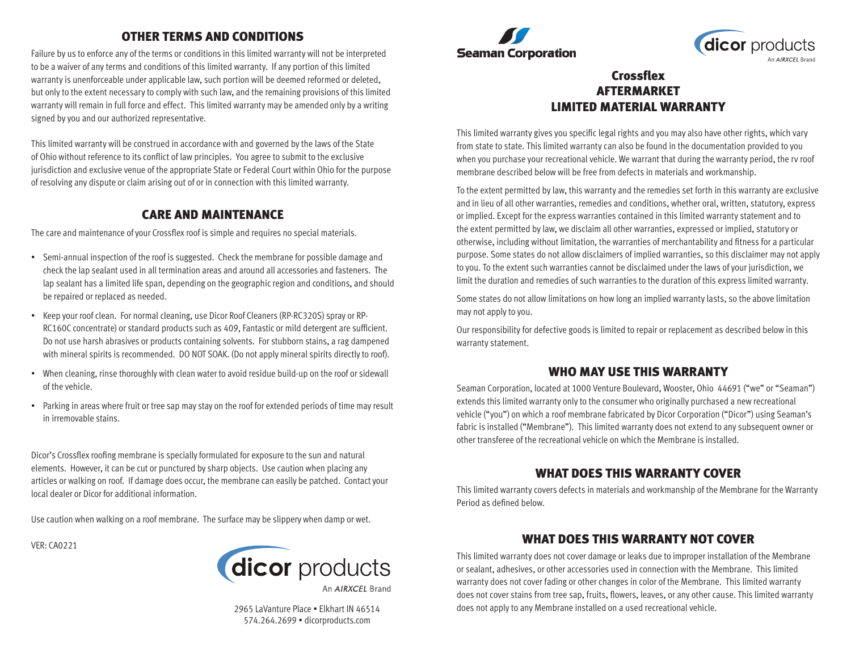# OTHER TERMS AND CONDITIONS

Failure by us to enforce any of the terms or conditions in this limited warranty will not be interpreted to be a waiver of any terms and conditions of this limited warranty. If any portion of this limited warranty is unenforceable under applicable law, such portion will be deemed reformed or deleted, but only to the extent necessary to comply with such law, and the remaining provisions of this limited warranty will remain in full force and effect. This limited warranty may be amended only by a writing signed by you and our authorized representative.

This limited warranty will be construed in accordance with and governed by the laws of the State of Ohio without reference to its conflict of law principles. You agree to submit to the exclusive jurisdiction and exclusive venue of the appropriate State or Federal Court within Ohio for the purpose of resolving any dispute or claim arising out of or in connection with this limited warranty.

#### CARE AND MAINTENANCE

The care and maintenance of your Crossflex roof is simple and requires no special materials.

- Semi-annual inspection of the roof is suggested. Check the membrane for possible damage and check the lap sealant used in all termination areas and around all accessories and fasteners. The lap sealant has a limited life span, depending on the geographic region and conditions, and should be repaired or replaced as needed.
- Keep your roof clean. For normal cleaning, use Dicor Roof Cleaners (RP-RC320S) spray or RP-RC160C concentrate) or standard products such as 409, Fantastic or mild detergent are sufficient. Do not use harsh abrasives or products containing solvents. For stubborn stains, a rag dampened with mineral spirits is recommended. DO NOT SOAK. (Do not apply mineral spirits directly to roof).
- When cleaning, rinse thoroughly with clean water to avoid residue build-up on the roof or sidewall of the vehicle.
- Parking in areas where fruit or tree sap may stay on the roof for extended periods of time may result in irremovable stains.

Dicor's Crossflex roofing membrane is specially formulated for exposure to the sun and natural elements. However, it can be cut or punctured by sharp objects. Use caution when placing any articles or walking on roof. If damage does occur, the membrane can easily be patched. Contact your local dealer or Dicor for additional information.

Use caution when walking on a roof membrane. The surface may be slippery when damp or wet.

VER: CA0221



An AIRXCFI Brand

2965 LaVanture Place • Elkhart IN 46514 574.264.2699 • dicorproducts.com





# Crossflex AFTERMARKET LIMITED MATERIAL WARRANTY

This limited warranty gives you specific legal rights and you may also have other rights, which vary from state to state. This limited warranty can also be found in the documentation provided to you when you purchase your recreational vehicle. We warrant that during the warranty period, the rv roof membrane described below will be free from defects in materials and workmanship.

To the extent permitted by law, this warranty and the remedies set forth in this warranty are exclusive and in lieu of all other warranties, remedies and conditions, whether oral, written, statutory, express or implied. Except for the express warranties contained in this limited warranty statement and to the extent permitted by law, we disclaim all other warranties, expressed or implied, statutory or otherwise, including without limitation, the warranties of merchantability and fitness for a particular purpose. Some states do not allow disclaimers of implied warranties, so this disclaimer may not apply to you. To the extent such warranties cannot be disclaimed under the laws of your jurisdiction, we limit the duration and remedies of such warranties to the duration of this express limited warranty.

Some states do not allow limitations on how long an implied warranty lasts, so the above limitation may not apply to you.

Our responsibility for defective goods is limited to repair or replacement as described below in this warranty statement.

## WHO MAY USE THIS WARRANTY

Seaman Corporation, located at 1000 Venture Boulevard, Wooster, Ohio 44691 ("we" or "Seaman") extends this limited warranty only to the consumer who originally purchased a new recreational vehicle ("you") on which a roof membrane fabricated by Dicor Corporation ("Dicor") using Seaman's fabric is installed ("Membrane"). This limited warranty does not extend to any subsequent owner or other transferee of the recreational vehicle on which the Membrane is installed.

## WHAT DOES THIS WARRANTY COVER

This limited warranty covers defects in materials and workmanship of the Membrane for the Warranty Period as defined below.

## WHAT DOES THIS WARRANTY NOT COVER

This limited warranty does not cover damage or leaks due to improper installation of the Membrane or sealant, adhesives, or other accessories used in connection with the Membrane. This limited warranty does not cover fading or other changes in color of the Membrane. This limited warranty does not cover stains from tree sap, fruits, flowers, leaves, or any other cause. This limited warranty does not apply to any Membrane installed on a used recreational vehicle.